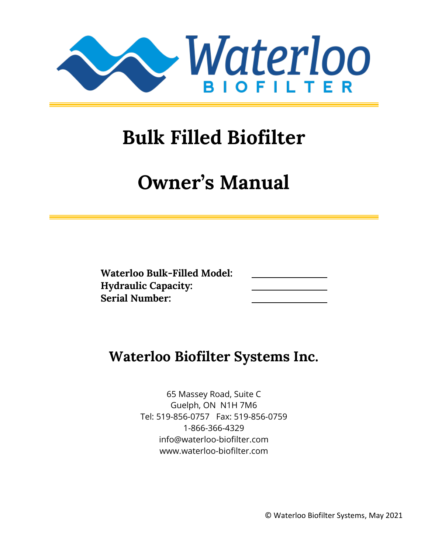

# **Bulk Filled Biofilter**

# **Owner's Manual**

| <b>Waterloo Bulk-Filled Model:</b> |  |
|------------------------------------|--|
| <b>Hydraulic Capacity:</b>         |  |
| <b>Serial Number:</b>              |  |

# **Waterloo Biofilter Systems Inc.**

65 Massey Road, Suite C Guelph, ON N1H 7M6 Tel: 519-856-0757 Fax: 519-856-0759 1-866-366-4329 info@waterloo-biofilter.com www.waterloo-biofilter.com

© Waterloo Biofilter Systems, May 2021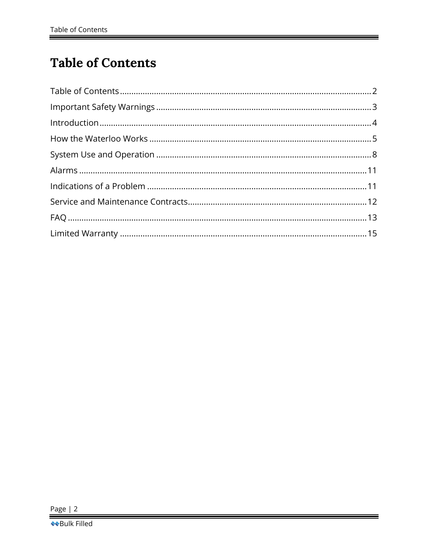# <span id="page-1-0"></span>**Table of Contents**

<u> 1989 - Jan Samuel Barbara, martxa a shekara 1989 - An tsara 1989 - An tsara 1989 - An tsara 1989 - An tsara 1</u>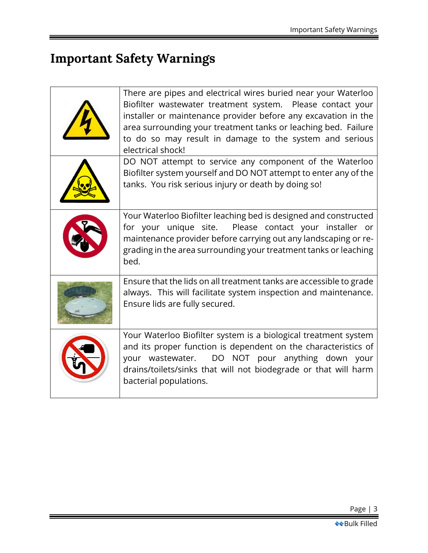# <span id="page-2-0"></span>**Important Safety Warnings**

<u> 1980 - Johann Barnett, fransk politik (d. 1980)</u>

| There are pipes and electrical wires buried near your Waterloo<br>Biofilter wastewater treatment system. Please contact your<br>installer or maintenance provider before any excavation in the<br>area surrounding your treatment tanks or leaching bed. Failure<br>to do so may result in damage to the system and serious<br>electrical shock! |
|--------------------------------------------------------------------------------------------------------------------------------------------------------------------------------------------------------------------------------------------------------------------------------------------------------------------------------------------------|
| DO NOT attempt to service any component of the Waterloo<br>Biofilter system yourself and DO NOT attempt to enter any of the<br>tanks. You risk serious injury or death by doing so!                                                                                                                                                              |
| Your Waterloo Biofilter leaching bed is designed and constructed<br>for your unique site. Please contact your installer or<br>maintenance provider before carrying out any landscaping or re-<br>grading in the area surrounding your treatment tanks or leaching<br>bed.                                                                        |
| Ensure that the lids on all treatment tanks are accessible to grade<br>always. This will facilitate system inspection and maintenance.<br>Ensure lids are fully secured.                                                                                                                                                                         |
| Your Waterloo Biofilter system is a biological treatment system<br>and its proper function is dependent on the characteristics of<br>your wastewater. DO NOT pour anything down your<br>drains/toilets/sinks that will not biodegrade or that will harm<br>bacterial populations.                                                                |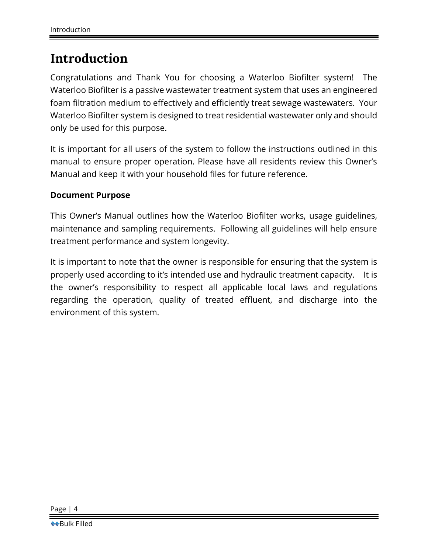### <span id="page-3-0"></span>**Introduction**

Congratulations and Thank You for choosing a Waterloo Biofilter system! The Waterloo Biofilter is a passive wastewater treatment system that uses an engineered foam filtration medium to effectively and efficiently treat sewage wastewaters. Your Waterloo Biofilter system is designed to treat residential wastewater only and should only be used for this purpose.

It is important for all users of the system to follow the instructions outlined in this manual to ensure proper operation. Please have all residents review this Owner's Manual and keep it with your household files for future reference.

#### **Document Purpose**

This Owner's Manual outlines how the Waterloo Biofilter works, usage guidelines, maintenance and sampling requirements. Following all guidelines will help ensure treatment performance and system longevity.

It is important to note that the owner is responsible for ensuring that the system is properly used according to it's intended use and hydraulic treatment capacity. It is the owner's responsibility to respect all applicable local laws and regulations regarding the operation, quality of treated effluent, and discharge into the environment of this system.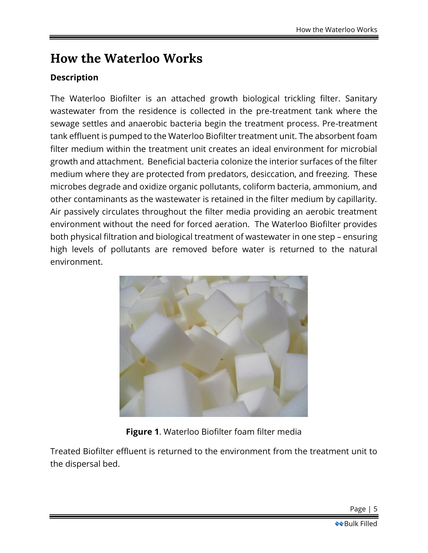# <span id="page-4-0"></span>**How the Waterloo Works**

### **Description**

The Waterloo Biofilter is an attached growth biological trickling filter. Sanitary wastewater from the residence is collected in the pre-treatment tank where the sewage settles and anaerobic bacteria begin the treatment process. Pre-treatment tank effluent is pumped to the Waterloo Biofilter treatment unit. The absorbent foam filter medium within the treatment unit creates an ideal environment for microbial growth and attachment. Beneficial bacteria colonize the interior surfaces of the filter medium where they are protected from predators, desiccation, and freezing. These microbes degrade and oxidize organic pollutants, coliform bacteria, ammonium, and other contaminants as the wastewater is retained in the filter medium by capillarity. Air passively circulates throughout the filter media providing an aerobic treatment environment without the need for forced aeration. The Waterloo Biofilter provides both physical filtration and biological treatment of wastewater in one step – ensuring high levels of pollutants are removed before water is returned to the natural environment.



### **Figure 1**. Waterloo Biofilter foam filter media

Treated Biofilter effluent is returned to the environment from the treatment unit to the dispersal bed.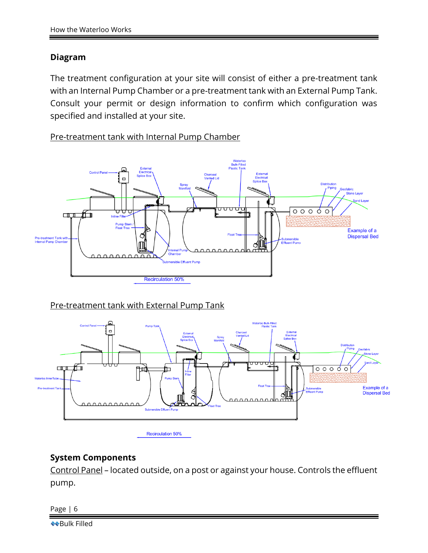### **Diagram**

The treatment configuration at your site will consist of either a pre-treatment tank with an Internal Pump Chamber or a pre-treatment tank with an External Pump Tank. Consult your permit or design information to confirm which configuration was specified and installed at your site.

Pre-treatment tank with Internal Pump Chamber



### Pre-treatment tank with External Pump Tank



### **System Components**

Control Panel – located outside, on a post or against your house. Controls the effluent pump.

Page | 6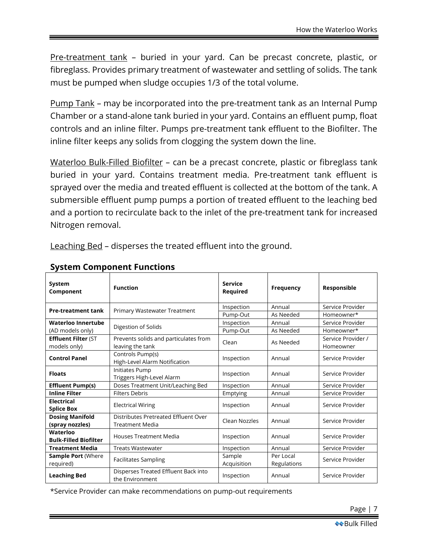Pre-treatment tank – buried in your yard. Can be precast concrete, plastic, or fibreglass. Provides primary treatment of wastewater and settling of solids. The tank must be pumped when sludge occupies 1/3 of the total volume.

Pump Tank – may be incorporated into the pre-treatment tank as an Internal Pump Chamber or a stand-alone tank buried in your yard. Contains an effluent pump, float controls and an inline filter. Pumps pre-treatment tank effluent to the Biofilter. The inline filter keeps any solids from clogging the system down the line.

Waterloo Bulk-Filled Biofilter – can be a precast concrete, plastic or fibreglass tank buried in your yard. Contains treatment media. Pre-treatment tank effluent is sprayed over the media and treated effluent is collected at the bottom of the tank. A submersible effluent pump pumps a portion of treated effluent to the leaching bed and a portion to recirculate back to the inlet of the pre-treatment tank for increased Nitrogen removal.

Leaching Bed – disperses the treated effluent into the ground.

| System<br>Component                        | <b>Function</b>                                                | Service<br>Required   | <b>Frequency</b>         | Responsible                     |
|--------------------------------------------|----------------------------------------------------------------|-----------------------|--------------------------|---------------------------------|
| <b>Pre-treatment tank</b>                  | Primary Wastewater Treatment                                   | Inspection            | Annual                   | Service Provider                |
|                                            |                                                                | Pump-Out              | As Needed                | Homeowner*                      |
| Waterloo Innertube                         | Digestion of Solids                                            | Inspection            | Annual                   | Service Provider                |
| (AD models only)                           |                                                                | Pump-Out              | As Needed                | Homeowner*                      |
| <b>Effluent Filter (ST</b><br>models only) | Prevents solids and particulates from<br>leaving the tank      | Clean                 | As Needed                | Service Provider /<br>Homeowner |
| <b>Control Panel</b>                       | Controls Pump(s)<br>High-Level Alarm Notification              | Inspection            | Annual                   | Service Provider                |
| <b>Floats</b>                              | Initiates Pump<br>Triggers High-Level Alarm                    | Inspection            | Annual                   | Service Provider                |
| <b>Effluent Pump(s)</b>                    | Doses Treatment Unit/Leaching Bed                              | Inspection            | Annual                   | Service Provider                |
| <b>Inline Filter</b>                       | <b>Filters Debris</b>                                          | Emptying              | Annual                   | Service Provider                |
| Electrical<br><b>Splice Box</b>            | <b>Electrical Wiring</b>                                       | Inspection            | Annual                   | Service Provider                |
| <b>Dosing Manifold</b><br>(spray nozzles)  | Distributes Pretreated Effluent Over<br><b>Treatment Media</b> | Clean Nozzles         | Annual                   | Service Provider                |
| Waterloo<br><b>Bulk-Filled Biofilter</b>   | <b>Houses Treatment Media</b>                                  | Inspection            | Annual                   | Service Provider                |
| <b>Treatment Media</b>                     | <b>Treats Wastewater</b>                                       | Inspection            | Annual                   | Service Provider                |
| <b>Sample Port (Where</b><br>required)     | <b>Facilitates Sampling</b>                                    | Sample<br>Acquisition | Per Local<br>Regulations | Service Provider                |
| <b>Leaching Bed</b>                        | Disperses Treated Effluent Back into<br>the Environment        | Inspection            | Annual                   | Service Provider                |

### **System Component Functions**

\*Service Provider can make recommendations on pump-out requirements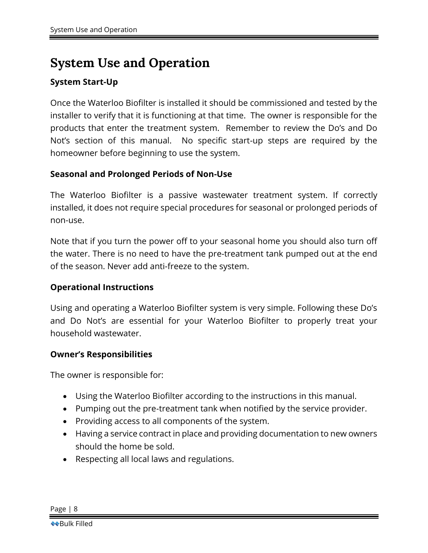### <span id="page-7-0"></span>**System Use and Operation**

### **System Start-Up**

Once the Waterloo Biofilter is installed it should be commissioned and tested by the installer to verify that it is functioning at that time. The owner is responsible for the products that enter the treatment system. Remember to review the Do's and Do Not's section of this manual. No specific start-up steps are required by the homeowner before beginning to use the system.

#### **Seasonal and Prolonged Periods of Non-Use**

The Waterloo Biofilter is a passive wastewater treatment system. If correctly installed, it does not require special procedures for seasonal or prolonged periods of non-use.

Note that if you turn the power off to your seasonal home you should also turn off the water. There is no need to have the pre-treatment tank pumped out at the end of the season. Never add anti-freeze to the system.

#### **Operational Instructions**

Using and operating a Waterloo Biofilter system is very simple. Following these Do's and Do Not's are essential for your Waterloo Biofilter to properly treat your household wastewater.

#### **Owner's Responsibilities**

The owner is responsible for:

- Using the Waterloo Biofilter according to the instructions in this manual.
- Pumping out the pre-treatment tank when notified by the service provider.
- Providing access to all components of the system.
- Having a service contract in place and providing documentation to new owners should the home be sold.
- Respecting all local laws and regulations.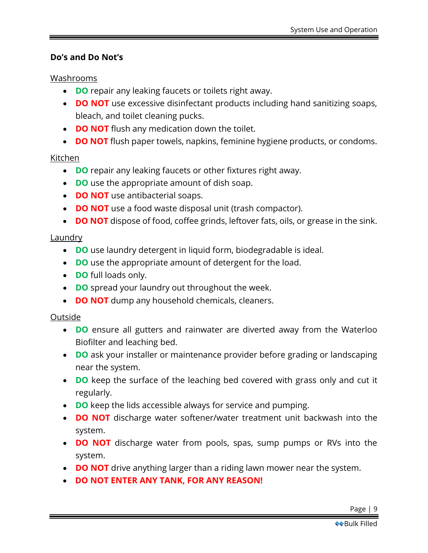### **Do's and Do Not's**

### Washrooms

- **DO** repair any leaking faucets or toilets right away.
- **DO NOT** use excessive disinfectant products including hand sanitizing soaps, bleach, and toilet cleaning pucks.
- **DO NOT** flush any medication down the toilet.
- **DO NOT** flush paper towels, napkins, feminine hygiene products, or condoms.

### Kitchen

- **DO** repair any leaking faucets or other fixtures right away.
- **DO** use the appropriate amount of dish soap.
- **DO NOT** use antibacterial soaps.
- **DO NOT** use a food waste disposal unit (trash compactor).
- **DO NOT** dispose of food, coffee grinds, leftover fats, oils, or grease in the sink.

### **Laundry**

- **DO** use laundry detergent in liquid form, biodegradable is ideal.
- **DO** use the appropriate amount of detergent for the load.
- **DO** full loads only.
- **DO** spread your laundry out throughout the week.
- **DO NOT** dump any household chemicals, cleaners.

### Outside

- **DO** ensure all gutters and rainwater are diverted away from the Waterloo Biofilter and leaching bed.
- **DO** ask your installer or maintenance provider before grading or landscaping near the system.
- **DO** keep the surface of the leaching bed covered with grass only and cut it regularly.
- **DO** keep the lids accessible always for service and pumping.
- **DO NOT** discharge water softener/water treatment unit backwash into the system.
- **DO NOT** discharge water from pools, spas, sump pumps or RVs into the system.
- **DO NOT** drive anything larger than a riding lawn mower near the system.
- **DO NOT ENTER ANY TANK, FOR ANY REASON!**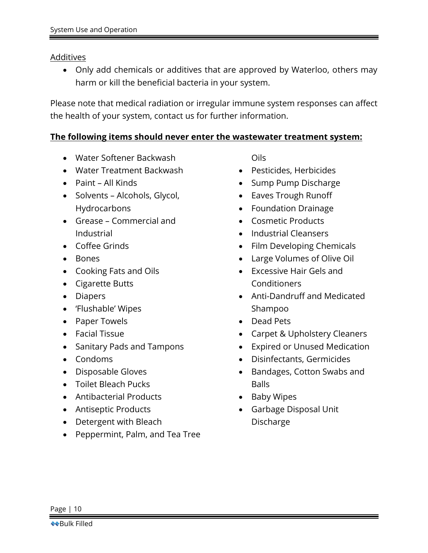### **Additives**

• Only add chemicals or additives that are approved by Waterloo, others may harm or kill the beneficial bacteria in your system.

Please note that medical radiation or irregular immune system responses can affect the health of your system, contact us for further information.

### **The following items should never enter the wastewater treatment system:**

- Water Softener Backwash
- Water Treatment Backwash
- Paint All Kinds
- Solvents Alcohols, Glycol, Hydrocarbons
- Grease Commercial and Industrial
- Coffee Grinds
- Bones
- Cooking Fats and Oils
- Cigarette Butts
- Diapers
- 'Flushable' Wipes
- Paper Towels
- Facial Tissue
- Sanitary Pads and Tampons
- Condoms
- Disposable Gloves
- Toilet Bleach Pucks
- Antibacterial Products
- Antiseptic Products
- Detergent with Bleach
- Peppermint, Palm, and Tea Tree

Oils

- Pesticides, Herbicides
- Sump Pump Discharge
- Eaves Trough Runoff
- Foundation Drainage
- Cosmetic Products
- Industrial Cleansers
- Film Developing Chemicals
- Large Volumes of Olive Oil
- Excessive Hair Gels and Conditioners
- Anti-Dandruff and Medicated Shampoo
- Dead Pets
- Carpet & Upholstery Cleaners
- Expired or Unused Medication
- Disinfectants, Germicides
- Bandages, Cotton Swabs and **Balls**
- Baby Wipes
- Garbage Disposal Unit Discharge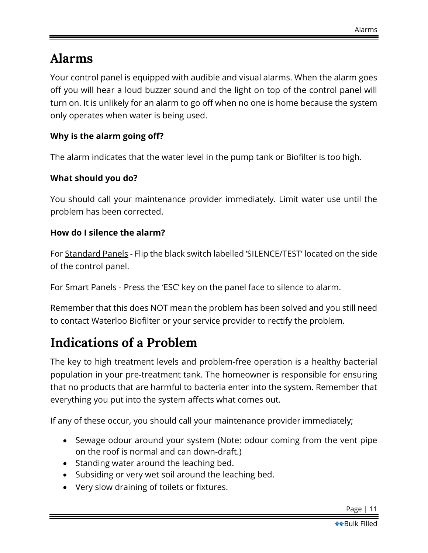### <span id="page-10-0"></span>**Alarms**

Your control panel is equipped with audible and visual alarms. When the alarm goes off you will hear a loud buzzer sound and the light on top of the control panel will turn on. It is unlikely for an alarm to go off when no one is home because the system only operates when water is being used.

### **Why is the alarm going off?**

The alarm indicates that the water level in the pump tank or Biofilter is too high.

### **What should you do?**

You should call your maintenance provider immediately. Limit water use until the problem has been corrected.

### **How do I silence the alarm?**

For Standard Panels - Flip the black switch labelled 'SILENCE/TEST' located on the side of the control panel.

For Smart Panels - Press the 'ESC' key on the panel face to silence to alarm.

Remember that this does NOT mean the problem has been solved and you still need to contact Waterloo Biofilter or your service provider to rectify the problem.

# <span id="page-10-1"></span>**Indications of a Problem**

The key to high treatment levels and problem-free operation is a healthy bacterial population in your pre-treatment tank. The homeowner is responsible for ensuring that no products that are harmful to bacteria enter into the system. Remember that everything you put into the system affects what comes out.

If any of these occur, you should call your maintenance provider immediately;

- Sewage odour around your system (Note: odour coming from the vent pipe on the roof is normal and can down-draft.)
- Standing water around the leaching bed.
- Subsiding or very wet soil around the leaching bed.
- Very slow draining of toilets or fixtures.

Page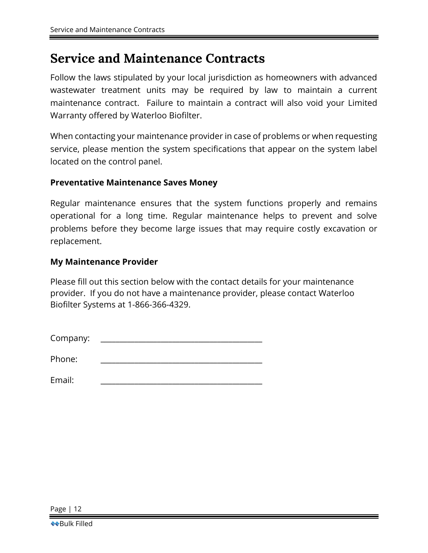### <span id="page-11-0"></span>**Service and Maintenance Contracts**

Follow the laws stipulated by your local jurisdiction as homeowners with advanced wastewater treatment units may be required by law to maintain a current maintenance contract. Failure to maintain a contract will also void your Limited Warranty offered by Waterloo Biofilter.

When contacting your maintenance provider in case of problems or when requesting service, please mention the system specifications that appear on the system label located on the control panel.

#### **Preventative Maintenance Saves Money**

Regular maintenance ensures that the system functions properly and remains operational for a long time. Regular maintenance helps to prevent and solve problems before they become large issues that may require costly excavation or replacement.

### **My Maintenance Provider**

Please fill out this section below with the contact details for your maintenance provider. If you do not have a maintenance provider, please contact Waterloo Biofilter Systems at 1-866-366-4329.

| Company: |  |
|----------|--|
|----------|--|

Phone:

Email: \_\_\_\_\_\_\_\_\_\_\_\_\_\_\_\_\_\_\_\_\_\_\_\_\_\_\_\_\_\_\_\_\_\_\_\_\_\_\_\_\_\_\_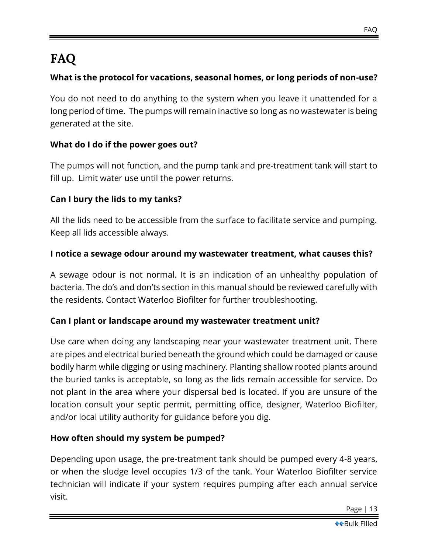# <span id="page-12-0"></span>**FAQ**

### **What is the protocol for vacations, seasonal homes, or long periods of non-use?**

You do not need to do anything to the system when you leave it unattended for a long period of time. The pumps will remain inactive so long as no wastewater is being generated at the site.

### **What do I do if the power goes out?**

The pumps will not function, and the pump tank and pre-treatment tank will start to fill up. Limit water use until the power returns.

### **Can I bury the lids to my tanks?**

All the lids need to be accessible from the surface to facilitate service and pumping. Keep all lids accessible always.

### **I notice a sewage odour around my wastewater treatment, what causes this?**

A sewage odour is not normal. It is an indication of an unhealthy population of bacteria. The do's and don'ts section in this manual should be reviewed carefully with the residents. Contact Waterloo Biofilter for further troubleshooting.

### **Can I plant or landscape around my wastewater treatment unit?**

Use care when doing any landscaping near your wastewater treatment unit. There are pipes and electrical buried beneath the ground which could be damaged or cause bodily harm while digging or using machinery. Planting shallow rooted plants around the buried tanks is acceptable, so long as the lids remain accessible for service. Do not plant in the area where your dispersal bed is located. If you are unsure of the location consult your septic permit, permitting office, designer, Waterloo Biofilter, and/or local utility authority for guidance before you dig.

### **How often should my system be pumped?**

Depending upon usage, the pre-treatment tank should be pumped every 4-8 years, or when the sludge level occupies 1/3 of the tank. Your Waterloo Biofilter service technician will indicate if your system requires pumping after each annual service visit.

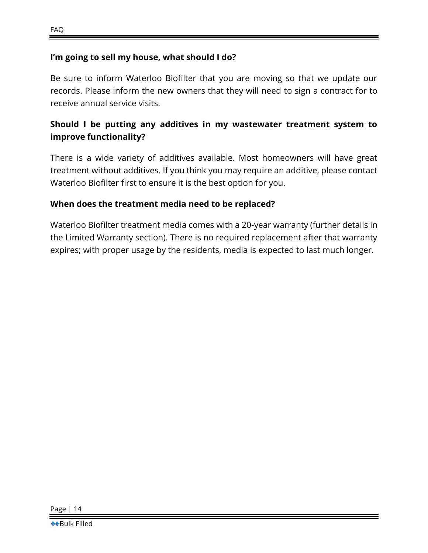### **I'm going to sell my house, what should I do?**

Be sure to inform Waterloo Biofilter that you are moving so that we update our records. Please inform the new owners that they will need to sign a contract for to receive annual service visits.

### **Should I be putting any additives in my wastewater treatment system to improve functionality?**

There is a wide variety of additives available. Most homeowners will have great treatment without additives. If you think you may require an additive, please contact Waterloo Biofilter first to ensure it is the best option for you.

### **When does the treatment media need to be replaced?**

Waterloo Biofilter treatment media comes with a 20-year warranty (further details in the Limited Warranty section). There is no required replacement after that warranty expires; with proper usage by the residents, media is expected to last much longer.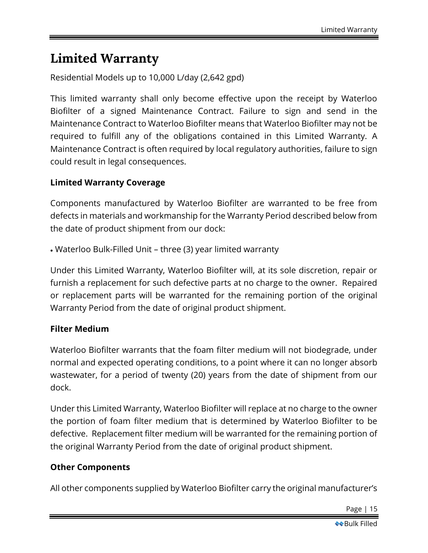## <span id="page-14-0"></span>**Limited Warranty**

Residential Models up to 10,000 L/day (2,642 gpd)

This limited warranty shall only become effective upon the receipt by Waterloo Biofilter of a signed Maintenance Contract. Failure to sign and send in the Maintenance Contract to Waterloo Biofilter means that Waterloo Biofilter may not be required to fulfill any of the obligations contained in this Limited Warranty. A Maintenance Contract is often required by local regulatory authorities, failure to sign could result in legal consequences.

### **Limited Warranty Coverage**

Components manufactured by Waterloo Biofilter are warranted to be free from defects in materials and workmanship for the Warranty Period described below from the date of product shipment from our dock:

• Waterloo Bulk-Filled Unit – three (3) year limited warranty

Under this Limited Warranty, Waterloo Biofilter will, at its sole discretion, repair or furnish a replacement for such defective parts at no charge to the owner. Repaired or replacement parts will be warranted for the remaining portion of the original Warranty Period from the date of original product shipment.

#### **Filter Medium**

Waterloo Biofilter warrants that the foam filter medium will not biodegrade, under normal and expected operating conditions, to a point where it can no longer absorb wastewater, for a period of twenty (20) years from the date of shipment from our dock.

Under this Limited Warranty, Waterloo Biofilter will replace at no charge to the owner the portion of foam filter medium that is determined by Waterloo Biofilter to be defective. Replacement filter medium will be warranted for the remaining portion of the original Warranty Period from the date of original product shipment.

### **Other Components**

All other components supplied by Waterloo Biofilter carry the original manufacturer's

Page | 15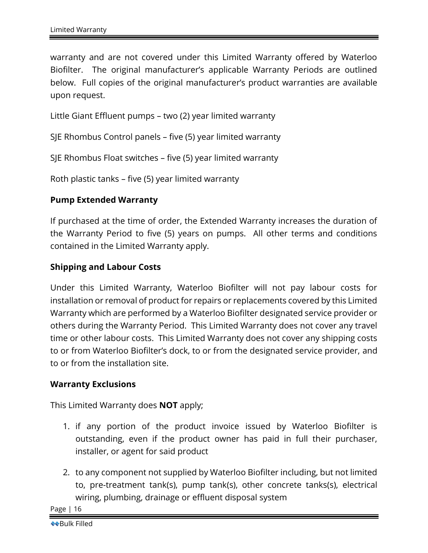warranty and are not covered under this Limited Warranty offered by Waterloo Biofilter. The original manufacturer's applicable Warranty Periods are outlined below. Full copies of the original manufacturer's product warranties are available upon request.

Little Giant Effluent pumps – two (2) year limited warranty

SJE Rhombus Control panels – five (5) year limited warranty

SJE Rhombus Float switches – five (5) year limited warranty

Roth plastic tanks – five (5) year limited warranty

### **Pump Extended Warranty**

If purchased at the time of order, the Extended Warranty increases the duration of the Warranty Period to five (5) years on pumps. All other terms and conditions contained in the Limited Warranty apply.

### **Shipping and Labour Costs**

Under this Limited Warranty, Waterloo Biofilter will not pay labour costs for installation or removal of product for repairs or replacements covered by this Limited Warranty which are performed by a Waterloo Biofilter designated service provider or others during the Warranty Period. This Limited Warranty does not cover any travel time or other labour costs. This Limited Warranty does not cover any shipping costs to or from Waterloo Biofilter's dock, to or from the designated service provider, and to or from the installation site.

#### **Warranty Exclusions**

This Limited Warranty does **NOT** apply;

- 1. if any portion of the product invoice issued by Waterloo Biofilter is outstanding, even if the product owner has paid in full their purchaser, installer, or agent for said product
- 2. to any component not supplied by Waterloo Biofilter including, but not limited to, pre-treatment tank(s), pump tank(s), other concrete tanks(s), electrical wiring, plumbing, drainage or effluent disposal system

Page | 16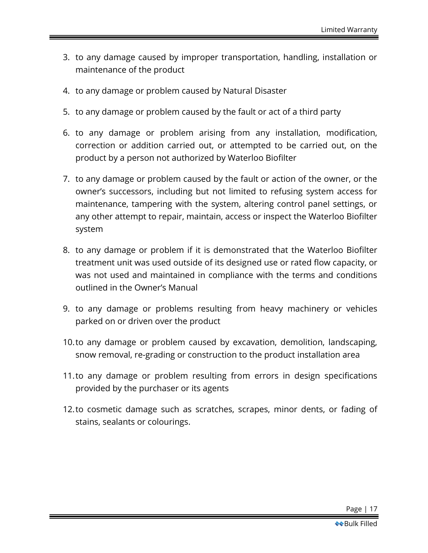- 3. to any damage caused by improper transportation, handling, installation or maintenance of the product
- 4. to any damage or problem caused by Natural Disaster
- 5. to any damage or problem caused by the fault or act of a third party
- 6. to any damage or problem arising from any installation, modification, correction or addition carried out, or attempted to be carried out, on the product by a person not authorized by Waterloo Biofilter
- 7. to any damage or problem caused by the fault or action of the owner, or the owner's successors, including but not limited to refusing system access for maintenance, tampering with the system, altering control panel settings, or any other attempt to repair, maintain, access or inspect the Waterloo Biofilter system
- 8. to any damage or problem if it is demonstrated that the Waterloo Biofilter treatment unit was used outside of its designed use or rated flow capacity, or was not used and maintained in compliance with the terms and conditions outlined in the Owner's Manual
- 9. to any damage or problems resulting from heavy machinery or vehicles parked on or driven over the product
- 10.to any damage or problem caused by excavation, demolition, landscaping, snow removal, re-grading or construction to the product installation area
- 11.to any damage or problem resulting from errors in design specifications provided by the purchaser or its agents
- 12.to cosmetic damage such as scratches, scrapes, minor dents, or fading of stains, sealants or colourings.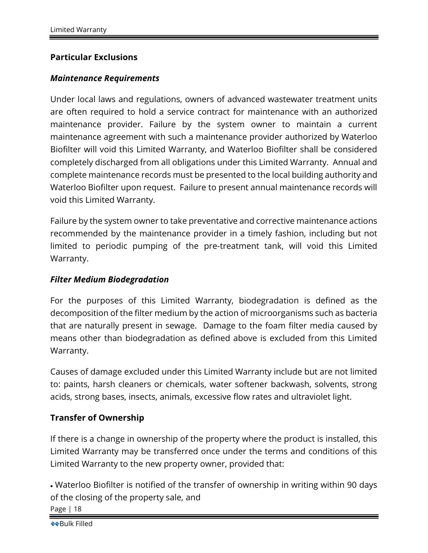### **Particular Exclusions**

#### *Maintenance Requirements*

Under local laws and regulations, owners of advanced wastewater treatment units are often required to hold a service contract for maintenance with an authorized maintenance provider. Failure by the system owner to maintain a current maintenance agreement with such a maintenance provider authorized by Waterloo Biofilter will void this Limited Warranty, and Waterloo Biofilter shall be considered completely discharged from all obligations under this Limited Warranty. Annual and complete maintenance records must be presented to the local building authority and Waterloo Biofilter upon request. Failure to present annual maintenance records will void this Limited Warranty.

Failure by the system owner to take preventative and corrective maintenance actions recommended by the maintenance provider in a timely fashion, including but not limited to periodic pumping of the pre-treatment tank, will void this Limited Warranty.

#### *Filter Medium Biodegradation*

For the purposes of this Limited Warranty, biodegradation is defined as the decomposition of the filter medium by the action of microorganisms such as bacteria that are naturally present in sewage. Damage to the foam filter media caused by means other than biodegradation as defined above is excluded from this Limited Warranty.

Causes of damage excluded under this Limited Warranty include but are not limited to: paints, harsh cleaners or chemicals, water softener backwash, solvents, strong acids, strong bases, insects, animals, excessive flow rates and ultraviolet light.

#### **Transfer of Ownership**

If there is a change in ownership of the property where the product is installed, this Limited Warranty may be transferred once under the terms and conditions of this Limited Warranty to the new property owner, provided that:

Page | 18 • Waterloo Biofilter is notified of the transfer of ownership in writing within 90 days of the closing of the property sale, and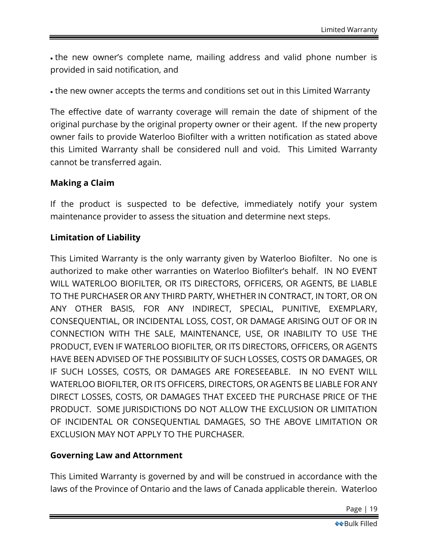• the new owner's complete name, mailing address and valid phone number is provided in said notification, and

• the new owner accepts the terms and conditions set out in this Limited Warranty

The effective date of warranty coverage will remain the date of shipment of the original purchase by the original property owner or their agent. If the new property owner fails to provide Waterloo Biofilter with a written notification as stated above this Limited Warranty shall be considered null and void. This Limited Warranty cannot be transferred again.

### **Making a Claim**

If the product is suspected to be defective, immediately notify your system maintenance provider to assess the situation and determine next steps.

### **Limitation of Liability**

This Limited Warranty is the only warranty given by Waterloo Biofilter. No one is authorized to make other warranties on Waterloo Biofilter's behalf. IN NO EVENT WILL WATERLOO BIOFILTER, OR ITS DIRECTORS, OFFICERS, OR AGENTS, BE LIABLE TO THE PURCHASER OR ANY THIRD PARTY, WHETHER IN CONTRACT, IN TORT, OR ON ANY OTHER BASIS, FOR ANY INDIRECT, SPECIAL, PUNITIVE, EXEMPLARY, CONSEQUENTIAL, OR INCIDENTAL LOSS, COST, OR DAMAGE ARISING OUT OF OR IN CONNECTION WITH THE SALE, MAINTENANCE, USE, OR INABILITY TO USE THE PRODUCT, EVEN IF WATERLOO BIOFILTER, OR ITS DIRECTORS, OFFICERS, OR AGENTS HAVE BEEN ADVISED OF THE POSSIBILITY OF SUCH LOSSES, COSTS OR DAMAGES, OR IF SUCH LOSSES, COSTS, OR DAMAGES ARE FORESEEABLE. IN NO EVENT WILL WATERLOO BIOFILTER, OR ITS OFFICERS, DIRECTORS, OR AGENTS BE LIABLE FOR ANY DIRECT LOSSES, COSTS, OR DAMAGES THAT EXCEED THE PURCHASE PRICE OF THE PRODUCT. SOME JURISDICTIONS DO NOT ALLOW THE EXCLUSION OR LIMITATION OF INCIDENTAL OR CONSEQUENTIAL DAMAGES, SO THE ABOVE LIMITATION OR EXCLUSION MAY NOT APPLY TO THE PURCHASER.

### **Governing Law and Attornment**

This Limited Warranty is governed by and will be construed in accordance with the laws of the Province of Ontario and the laws of Canada applicable therein. Waterloo